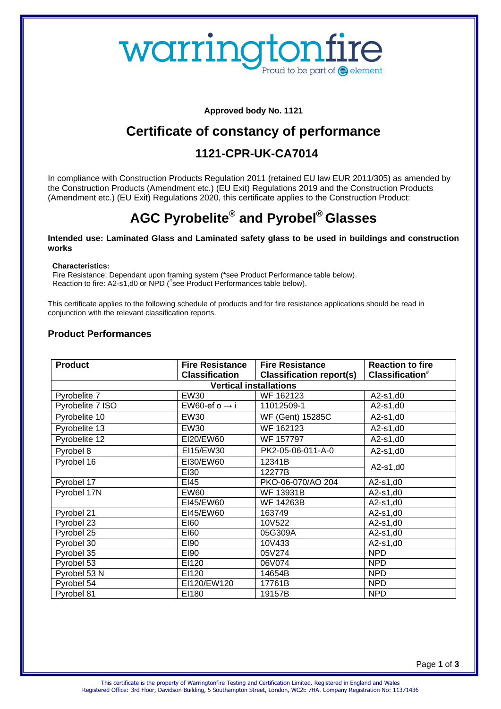# warringtonfire Proud to be part of  $\bigcirc$  element

**Approved body No. 1121**

## **Certificate of constancy of performance**

## **1121-CPR-UK-CA7014**

In compliance with Construction Products Regulation 2011 (retained EU law EUR 2011/305) as amended by the Construction Products (Amendment etc.) (EU Exit) Regulations 2019 and the Construction Products (Amendment etc.) (EU Exit) Regulations 2020, this certificate applies to the Construction Product:

## **AGC Pyrobelite® and Pyrobel® Glasses**

#### **Intended use: Laminated Glass and Laminated safety glass to be used in buildings and construction works**

**Characteristics:**

Fire Resistance: Dependant upon framing system (\*see Product Performance table below). Reaction to fire: A2-s1,d0 or NPD (#see Product Performances table below).

This certificate applies to the following schedule of products and for fire resistance applications should be read in conjunction with the relevant classification reports.

#### **Product Performances**

| <b>Product</b>                | <b>Fire Resistance</b>    | <b>Fire Resistance</b>          | <b>Reaction to fire</b>     |  |
|-------------------------------|---------------------------|---------------------------------|-----------------------------|--|
|                               | <b>Classification</b>     | <b>Classification report(s)</b> | Classification <sup>#</sup> |  |
| <b>Vertical installations</b> |                           |                                 |                             |  |
| Pyrobelite 7                  | <b>EW30</b>               | WF 162123                       | $A2-s1, d0$                 |  |
| Pyrobelite 7 ISO              | EW60-ef o $\rightarrow$ i | 11012509-1                      | $A2-s1, d0$                 |  |
| Pyrobelite 10                 | EW30                      | WF (Gent) 15285C                | $A2-s1, d0$                 |  |
| Pyrobelite 13                 | <b>EW30</b>               | WF 162123                       | $A2-s1,d0$                  |  |
| Pyrobelite 12                 | EI20/EW60                 | WF 157797                       | $A2-s1, d0$                 |  |
| Pyrobel 8                     | EI15/EW30                 | PK2-05-06-011-A-0               | $A2-s1,d0$                  |  |
| Pyrobel 16                    | EI30/EW60                 | 12341B                          |                             |  |
|                               | EI30                      | 12277B                          | $A2-s1,d0$                  |  |
| Pyrobel 17                    | EI45                      | PKO-06-070/AO 204               | $A2-s1, d0$                 |  |
| Pyrobel 17N                   | EW60                      | <b>WF 13931B</b>                | $A2-s1, d0$                 |  |
|                               | EI45/EW60                 | WF 14263B                       | $A2-s1, d0$                 |  |
| Pyrobel 21                    | EI45/EW60                 | 163749                          | $A2-s1, d0$                 |  |
| Pyrobel 23                    | <b>EI60</b>               | 10V522                          | A2-s1,d0                    |  |
| Pyrobel 25                    | E160                      | 05G309A                         | $A2-s1, d0$                 |  |
| Pyrobel 30                    | E190                      | 10V433                          | $A2-s1, d0$                 |  |
| Pyrobel 35                    | E190                      | 05V274                          | <b>NPD</b>                  |  |
| Pyrobel 53                    | EI120                     | 06V074                          | <b>NPD</b>                  |  |
| Pyrobel 53 N                  | EI120                     | 14654B                          | <b>NPD</b>                  |  |
| Pyrobel 54                    | EI120/EW120               | 17761B                          | <b>NPD</b>                  |  |
| Pyrobel 81                    | EI180                     | 19157B                          | <b>NPD</b>                  |  |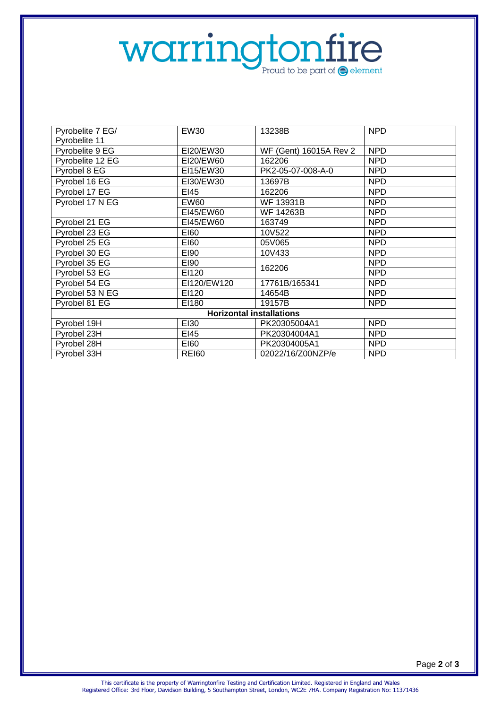# Warringtonfire

| Pyrobelite 7 EG/                | <b>EW30</b> | 13238B                 | <b>NPD</b> |  |
|---------------------------------|-------------|------------------------|------------|--|
| Pyrobelite 11                   |             |                        |            |  |
| Pyrobelite 9 EG                 | EI20/EW30   | WF (Gent) 16015A Rev 2 | <b>NPD</b> |  |
| Pyrobelite 12 EG                | EI20/EW60   | 162206                 | <b>NPD</b> |  |
| Pyrobel 8 EG                    | EI15/EW30   | PK2-05-07-008-A-0      | <b>NPD</b> |  |
| Pyrobel 16 EG                   | EI30/EW30   | 13697B                 | <b>NPD</b> |  |
| Pyrobel 17 EG                   | EI45        | 162206                 | <b>NPD</b> |  |
| Pyrobel 17 N EG                 | EW60        | <b>WF 13931B</b>       | <b>NPD</b> |  |
|                                 | EI45/EW60   | WF 14263B              | <b>NPD</b> |  |
| Pyrobel 21 EG                   | EI45/EW60   | 163749                 | <b>NPD</b> |  |
| Pyrobel 23 EG                   | E160        | 10V522                 | <b>NPD</b> |  |
| Pyrobel 25 EG                   | E160        | 05V065                 | <b>NPD</b> |  |
| Pyrobel 30 EG                   | E190        | 10V433                 | NPD        |  |
| Pyrobel 35 EG                   | E190        | 162206                 | <b>NPD</b> |  |
| Pyrobel 53 EG                   | EI120       |                        | <b>NPD</b> |  |
| Pyrobel 54 EG                   | EI120/EW120 | 17761B/165341          | <b>NPD</b> |  |
| Pyrobel 53 N EG                 | EI120       | 14654B                 | <b>NPD</b> |  |
| Pyrobel 81 EG                   | EI180       | 19157B                 | NPD        |  |
| <b>Horizontal installations</b> |             |                        |            |  |
| Pyrobel 19H                     | EI30        | PK20305004A1           | <b>NPD</b> |  |
| Pyrobel 23H                     | EI45        | PK20304004A1           | <b>NPD</b> |  |
| Pyrobel 28H                     | E160        | PK20304005A1           | <b>NPD</b> |  |
| Pyrobel 33H                     | REI60       | 02022/16/Z00NZP/e      | <b>NPD</b> |  |

Page **2** of **3**